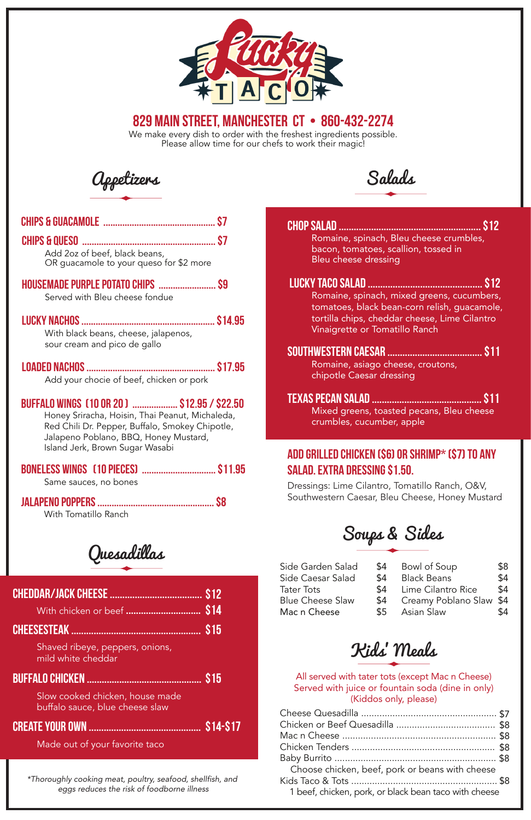*\*Thoroughly cooking meat, poultry, seafood, shellfish, and eggs reduces the risk of foodborne illness*

Salads

Chop Salad ......................................................... \$12 Romaine, spinach, Bleu cheese crumbles, bacon, tomatoes, scallion, tossed in Bleu cheese dressing

Southwestern Caesar ...................................... \$11 Romaine, asiago cheese, croutons, chipotle Caesar dressing

## Texas Pecan Salad ............................................ \$11

Mixed greens, toasted pecans, Bleu cheese crumbles, cucumber, apple

### Add Grilled Chicken (\$6) or Shrimp\* (\$7) to any salad. Extra Dressing \$1.50.

 Lucky Taco Salad .............................................. \$12 Romaine, spinach, mixed greens, cucumbers, tomatoes, black bean-corn relish, guacamole, tortilla chips, cheddar cheese, Lime Cilantro Vinaigrette or Tomatillo Ranch

Dressings: Lime Cilantro, Tomatillo Ranch, O&V, Southwestern Caesar, Bleu Cheese, Honey Mustard

All served with tater tots (except Mac n Cheese) Served with juice or fountain soda (dine in only) (Kiddos only, please)

Mac n Cheese  $$5$ Asian Slaw \$4

| Choose chicken, beef, pork or beans with cheese       |  |
|-------------------------------------------------------|--|
|                                                       |  |
| 1 beef, chicken, pork, or black bean taco with cheese |  |



We make every dish to order with the freshest ingredients possible. Please allow time for our chefs to work their magic!



## 829 main street, manchester ct • 860-432-2274

Made out of your favorite taco

|--|--|--|

With chicken or beef .............................. \$14

Slow cooked chicken, house made buffalo sauce, blue cheese slaw

Create your own ............................................. \$14-\$17

## buffalo chicken .............................................. \$15

#### Cheesesteak .................................................... \$15

Shaved ribeye, peppers, onions, mild white cheddar

Quesadillas

Soups & Sides

| Side Garden Salad       | <b>\$4</b> | Bowl of Soup                | \$8 |
|-------------------------|------------|-----------------------------|-----|
| Side Caesar Salad       | \$4        | Black Beans                 | \$4 |
| Tater Tots              |            | \$4 Lime Cilantro Rice      | \$4 |
| <b>Blue Cheese Slaw</b> |            | \$4 Creamy Poblano Slaw \$4 |     |

Appetizers

| Add 2oz of beef, black beans,<br>OR guacamole to your queso for \$2 more                                                                                                                                                       |  |
|--------------------------------------------------------------------------------------------------------------------------------------------------------------------------------------------------------------------------------|--|
| HOUSEMADE PURPLE POTATO CHIPS  \$9<br>Served with Bleu cheese fondue                                                                                                                                                           |  |
| With black beans, cheese, jalapenos,<br>sour cream and pico de gallo                                                                                                                                                           |  |
| Add your chocie of beef, chicken or pork                                                                                                                                                                                       |  |
| BUFFALO WINGS [10 OR 20 ]  \$12.95 / \$22.50<br>Honey Sriracha, Hoisin, Thai Peanut, Michaleda,<br>Red Chili Dr. Pepper, Buffalo, Smokey Chipotle,<br>Jalapeno Poblano, BBQ, Honey Mustard,<br>Island Jerk, Brown Sugar Wasabi |  |
| BONELESS WINGS [10 PIECES]  \$11.95<br>Same sauces, no bones                                                                                                                                                                   |  |
| With Tomatillo Ranch                                                                                                                                                                                                           |  |